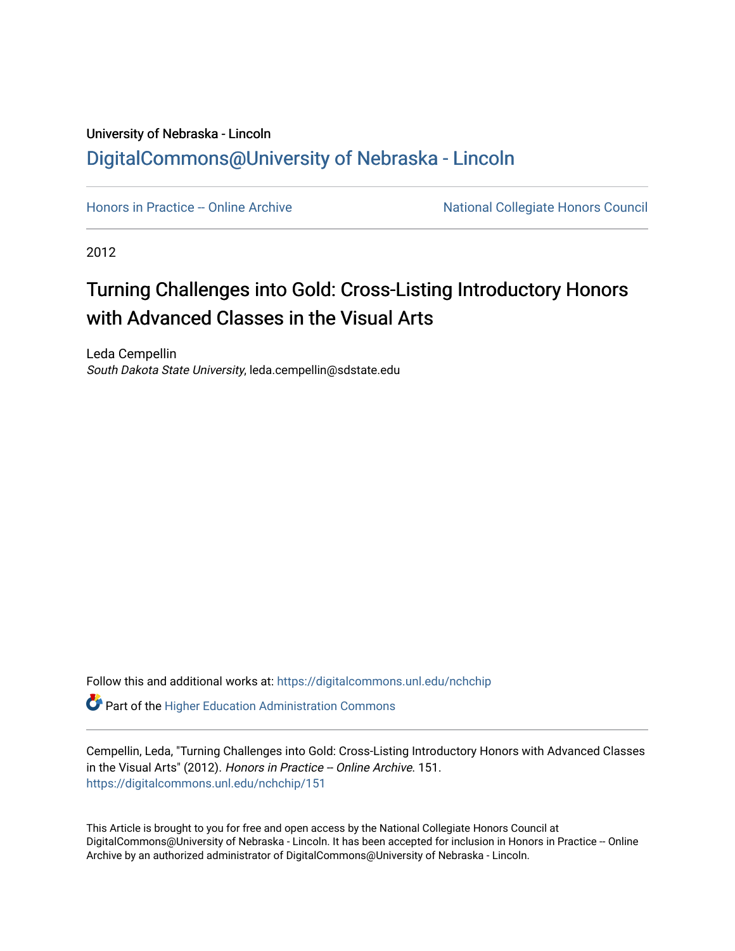## University of Nebraska - Lincoln [DigitalCommons@University of Nebraska - Lincoln](https://digitalcommons.unl.edu/)

[Honors in Practice -- Online Archive](https://digitalcommons.unl.edu/nchchip) National Collegiate Honors Council

2012

## Turning Challenges into Gold: Cross-Listing Introductory Honors with Advanced Classes in the Visual Arts

Leda Cempellin South Dakota State University, leda.cempellin@sdstate.edu

Follow this and additional works at: [https://digitalcommons.unl.edu/nchchip](https://digitalcommons.unl.edu/nchchip?utm_source=digitalcommons.unl.edu%2Fnchchip%2F151&utm_medium=PDF&utm_campaign=PDFCoverPages) 

**C** Part of the Higher Education Administration Commons

Cempellin, Leda, "Turning Challenges into Gold: Cross-Listing Introductory Honors with Advanced Classes in the Visual Arts" (2012). Honors in Practice -- Online Archive. 151. [https://digitalcommons.unl.edu/nchchip/151](https://digitalcommons.unl.edu/nchchip/151?utm_source=digitalcommons.unl.edu%2Fnchchip%2F151&utm_medium=PDF&utm_campaign=PDFCoverPages) 

This Article is brought to you for free and open access by the National Collegiate Honors Council at DigitalCommons@University of Nebraska - Lincoln. It has been accepted for inclusion in Honors in Practice -- Online Archive by an authorized administrator of DigitalCommons@University of Nebraska - Lincoln.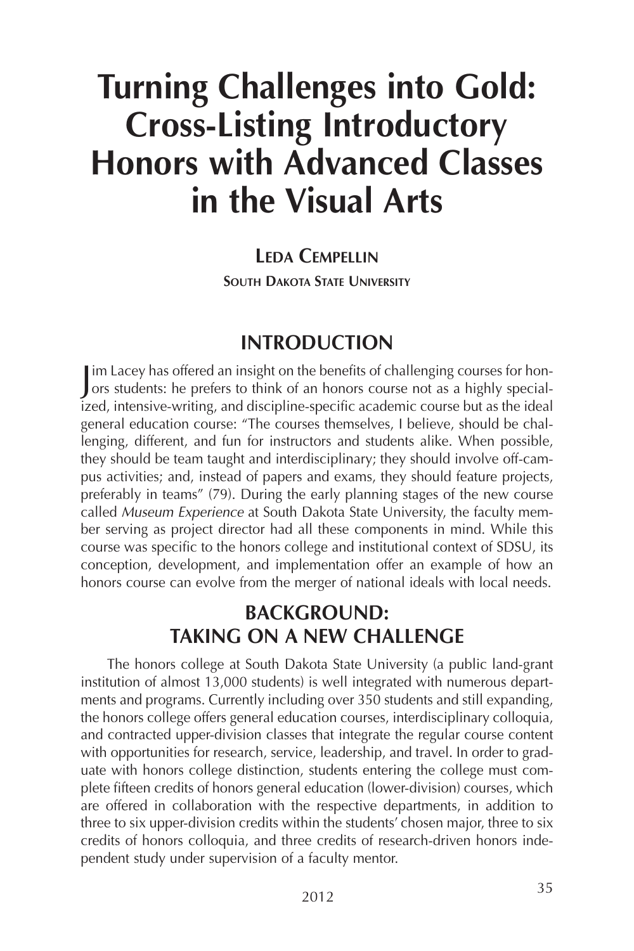# **Turning Challenges into Gold: Cross-Listing Introductory Honors with Advanced Classes in the Visual Arts**

#### **LEDA CEMPELLIN**

**SOUTH DAKOTA STATE UNIVERSITY**

## **INTRODUCTION**

Im Lacey has offered an insight on the benefits of challenging courses for hon-<br>Jors students: he prefers to think of an honors course not as a highly special-I im Lacey has offered an insight on the benefits of challenging courses for honized, intensive-writing, and discipline-specific academic course but as the ideal general education course: "The courses themselves, I believe, should be challenging, different, and fun for instructors and students alike. When possible, they should be team taught and interdisciplinary; they should involve off-campus activities; and, instead of papers and exams, they should feature projects, preferably in teams" (79). During the early planning stages of the new course called *Museum Experience* at South Dakota State University, the faculty member serving as project director had all these components in mind. While this course was specific to the honors college and institutional context of SDSU, its conception, development, and implementation offer an example of how an honors course can evolve from the merger of national ideals with local needs.

## **BACKGROUND: TAKING ON A NEW CHALLENGE**

The honors college at South Dakota State University (a public land-grant institution of almost 13,000 students) is well integrated with numerous departments and programs. Currently including over 350 students and still expanding, the honors college offers general education courses, interdisciplinary colloquia, and contracted upper-division classes that integrate the regular course content with opportunities for research, service, leadership, and travel. In order to graduate with honors college distinction, students entering the college must complete fifteen credits of honors general education (lower-division) courses, which are offered in collaboration with the respective departments, in addition to three to six upper-division credits within the students' chosen major, three to six credits of honors colloquia, and three credits of research-driven honors independent study under supervision of a faculty mentor.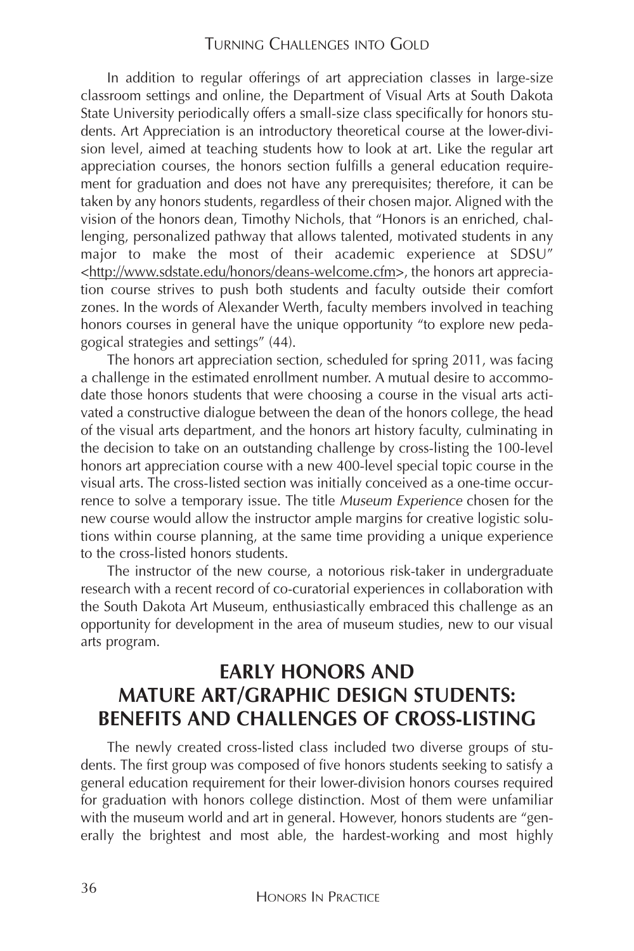#### TURNING CHALLENGES INTO GOLD

In addition to regular offerings of art appreciation classes in large-size classroom settings and online, the Department of Visual Arts at South Dakota State University periodically offers a small-size class specifically for honors students. Art Appreciation is an introductory theoretical course at the lower-division level, aimed at teaching students how to look at art. Like the regular art appreciation courses, the honors section fulfills a general education requirement for graduation and does not have any prerequisites; therefore, it can be taken by any honors students, regardless of their chosen major. Aligned with the vision of the honors dean, Timothy Nichols, that "Honors is an enriched, challenging, personalized pathway that allows talented, motivated students in any major to make the most of their academic experience at SDSU" <http://www.sdstate.edu/honors/deans-welcome.cfm>, the honors art appreciation course strives to push both students and faculty outside their comfort zones. In the words of Alexander Werth, faculty members involved in teaching honors courses in general have the unique opportunity "to explore new pedagogical strategies and settings" (44).

The honors art appreciation section, scheduled for spring 2011, was facing a challenge in the estimated enrollment number. A mutual desire to accommodate those honors students that were choosing a course in the visual arts activated a constructive dialogue between the dean of the honors college, the head of the visual arts department, and the honors art history faculty, culminating in the decision to take on an outstanding challenge by cross-listing the 100-level honors art appreciation course with a new 400-level special topic course in the visual arts. The cross-listed section was initially conceived as a one-time occurrence to solve a temporary issue. The title *Museum Experience* chosen for the new course would allow the instructor ample margins for creative logistic solutions within course planning, at the same time providing a unique experience to the cross-listed honors students.

The instructor of the new course, a notorious risk-taker in undergraduate research with a recent record of co-curatorial experiences in collaboration with the South Dakota Art Museum, enthusiastically embraced this challenge as an opportunity for development in the area of museum studies, new to our visual arts program.

#### **EARLY HONORS AND MATURE ART/GRAPHIC DESIGN STUDENTS: BENEFITS AND CHALLENGES OF CROSS-LISTING**

The newly created cross-listed class included two diverse groups of students. The first group was composed of five honors students seeking to satisfy a general education requirement for their lower-division honors courses required for graduation with honors college distinction. Most of them were unfamiliar with the museum world and art in general. However, honors students are "generally the brightest and most able, the hardest-working and most highly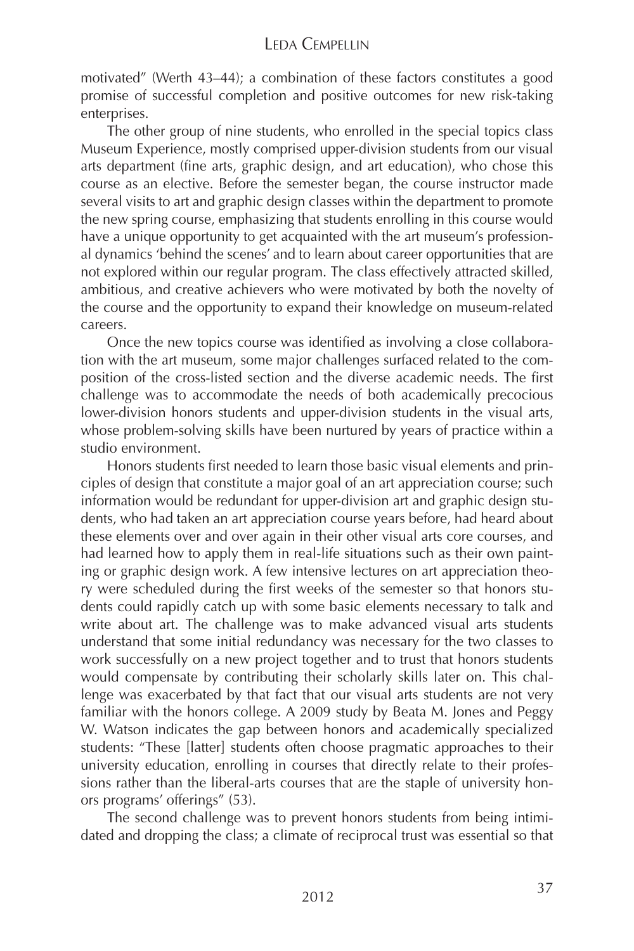motivated" (Werth 43–44); a combination of these factors constitutes a good promise of successful completion and positive outcomes for new risk-taking enterprises.

The other group of nine students, who enrolled in the special topics class Museum Experience, mostly comprised upper-division students from our visual arts department (fine arts, graphic design, and art education), who chose this course as an elective. Before the semester began, the course instructor made several visits to art and graphic design classes within the department to promote the new spring course, emphasizing that students enrolling in this course would have a unique opportunity to get acquainted with the art museum's professional dynamics 'behind the scenes' and to learn about career opportunities that are not explored within our regular program. The class effectively attracted skilled, ambitious, and creative achievers who were motivated by both the novelty of the course and the opportunity to expand their knowledge on museum-related careers.

Once the new topics course was identified as involving a close collaboration with the art museum, some major challenges surfaced related to the composition of the cross-listed section and the diverse academic needs. The first challenge was to accommodate the needs of both academically precocious lower-division honors students and upper-division students in the visual arts, whose problem-solving skills have been nurtured by years of practice within a studio environment.

Honors students first needed to learn those basic visual elements and principles of design that constitute a major goal of an art appreciation course; such information would be redundant for upper-division art and graphic design students, who had taken an art appreciation course years before, had heard about these elements over and over again in their other visual arts core courses, and had learned how to apply them in real-life situations such as their own painting or graphic design work. A few intensive lectures on art appreciation theory were scheduled during the first weeks of the semester so that honors students could rapidly catch up with some basic elements necessary to talk and write about art. The challenge was to make advanced visual arts students understand that some initial redundancy was necessary for the two classes to work successfully on a new project together and to trust that honors students would compensate by contributing their scholarly skills later on. This challenge was exacerbated by that fact that our visual arts students are not very familiar with the honors college. A 2009 study by Beata M. Jones and Peggy W. Watson indicates the gap between honors and academically specialized students: "These [latter] students often choose pragmatic approaches to their university education, enrolling in courses that directly relate to their professions rather than the liberal-arts courses that are the staple of university honors programs' offerings" (53).

The second challenge was to prevent honors students from being intimidated and dropping the class; a climate of reciprocal trust was essential so that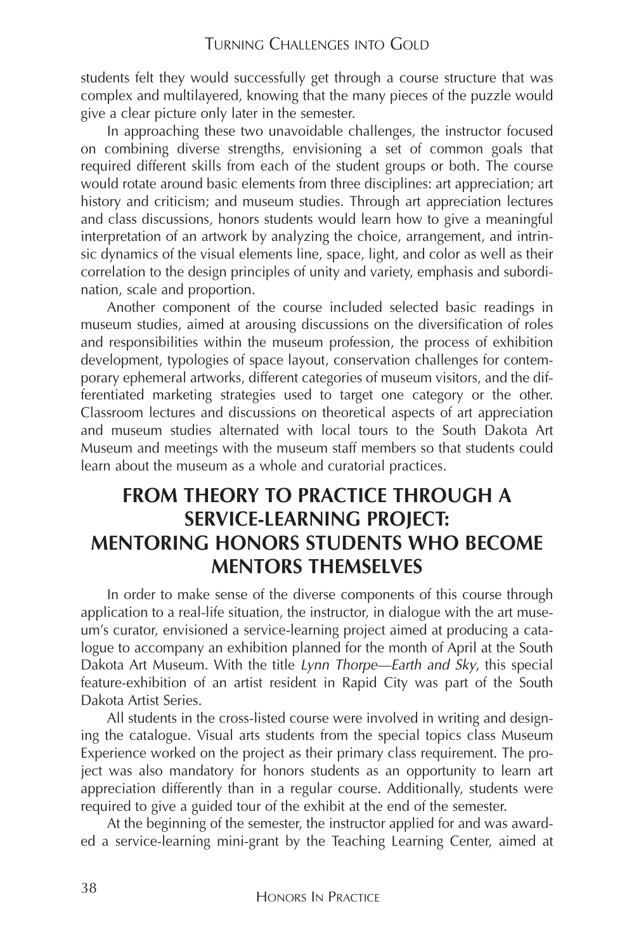students felt they would successfully get through a course structure that was complex and multilayered, knowing that the many pieces of the puzzle would give a clear picture only later in the semester.

In approaching these two unavoidable challenges, the instructor focused on combining diverse strengths, envisioning a set of common goals that required different skills from each of the student groups or both. The course would rotate around basic elements from three disciplines: art appreciation; art history and criticism; and museum studies. Through art appreciation lectures and class discussions, honors students would learn how to give a meaningful interpretation of an artwork by analyzing the choice, arrangement, and intrinsic dynamics of the visual elements line, space, light, and color as well as their correlation to the design principles of unity and variety, emphasis and subordination, scale and proportion.

Another component of the course included selected basic readings in museum studies, aimed at arousing discussions on the diversification of roles and responsibilities within the museum profession, the process of exhibition development, typologies of space layout, conservation challenges for contemporary ephemeral artworks, different categories of museum visitors, and the differentiated marketing strategies used to target one category or the other. Classroom lectures and discussions on theoretical aspects of art appreciation and museum studies alternated with local tours to the South Dakota Art Museum and meetings with the museum staff members so that students could learn about the museum as a whole and curatorial practices.

## **FROM THEORY TO PRACTICE THROUGH A SERVICE-LEARNING PROJECT: MENTORING HONORS STUDENTS WHO BECOME MENTORS THEMSELVES**

In order to make sense of the diverse components of this course through application to a real-life situation, the instructor, in dialogue with the art museum's curator, envisioned a service-learning project aimed at producing a catalogue to accompany an exhibition planned for the month of April at the South Dakota Art Museum. With the title *Lynn Thorpe—Earth and Sky*, this special feature-exhibition of an artist resident in Rapid City was part of the South Dakota Artist Series.

All students in the cross-listed course were involved in writing and designing the catalogue. Visual arts students from the special topics class Museum Experience worked on the project as their primary class requirement. The project was also mandatory for honors students as an opportunity to learn art appreciation differently than in a regular course. Additionally, students were required to give a guided tour of the exhibit at the end of the semester.

At the beginning of the semester, the instructor applied for and was awarded a service-learning mini-grant by the Teaching Learning Center, aimed at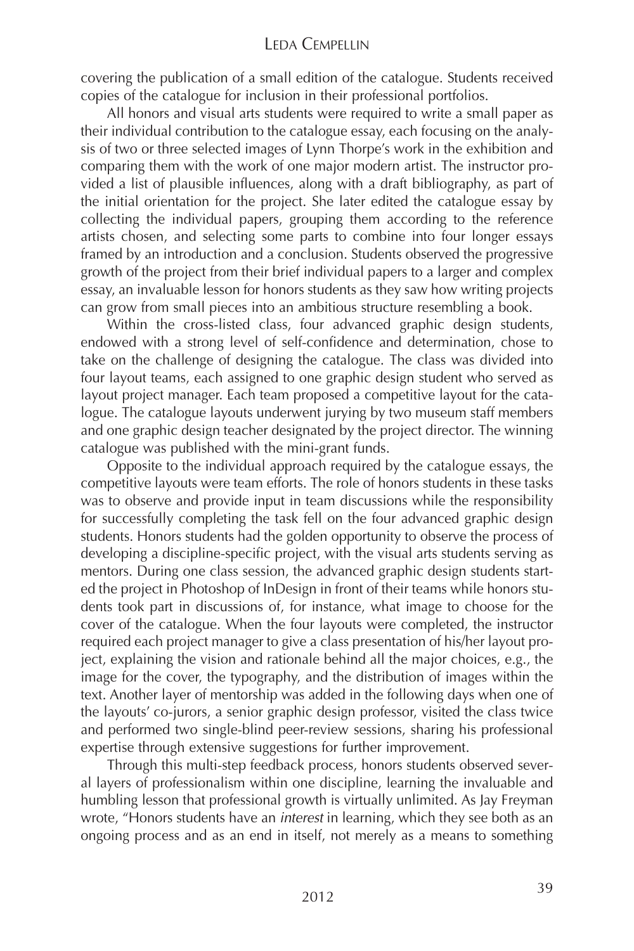#### LEDA CEMPELLIN

covering the publication of a small edition of the catalogue. Students received copies of the catalogue for inclusion in their professional portfolios.

All honors and visual arts students were required to write a small paper as their individual contribution to the catalogue essay, each focusing on the analysis of two or three selected images of Lynn Thorpe's work in the exhibition and comparing them with the work of one major modern artist. The instructor provided a list of plausible influences, along with a draft bibliography, as part of the initial orientation for the project. She later edited the catalogue essay by collecting the individual papers, grouping them according to the reference artists chosen, and selecting some parts to combine into four longer essays framed by an introduction and a conclusion. Students observed the progressive growth of the project from their brief individual papers to a larger and complex essay, an invaluable lesson for honors students as they saw how writing projects can grow from small pieces into an ambitious structure resembling a book.

Within the cross-listed class, four advanced graphic design students, endowed with a strong level of self-confidence and determination, chose to take on the challenge of designing the catalogue. The class was divided into four layout teams, each assigned to one graphic design student who served as layout project manager. Each team proposed a competitive layout for the catalogue. The catalogue layouts underwent jurying by two museum staff members and one graphic design teacher designated by the project director. The winning catalogue was published with the mini-grant funds.

Opposite to the individual approach required by the catalogue essays, the competitive layouts were team efforts. The role of honors students in these tasks was to observe and provide input in team discussions while the responsibility for successfully completing the task fell on the four advanced graphic design students. Honors students had the golden opportunity to observe the process of developing a discipline-specific project, with the visual arts students serving as mentors. During one class session, the advanced graphic design students started the project in Photoshop of InDesign in front of their teams while honors students took part in discussions of, for instance, what image to choose for the cover of the catalogue. When the four layouts were completed, the instructor required each project manager to give a class presentation of his/her layout project, explaining the vision and rationale behind all the major choices, e.g., the image for the cover, the typography, and the distribution of images within the text. Another layer of mentorship was added in the following days when one of the layouts' co-jurors, a senior graphic design professor, visited the class twice and performed two single-blind peer-review sessions, sharing his professional expertise through extensive suggestions for further improvement.

Through this multi-step feedback process, honors students observed several layers of professionalism within one discipline, learning the invaluable and humbling lesson that professional growth is virtually unlimited. As Jay Freyman wrote, "Honors students have an *interest* in learning, which they see both as an ongoing process and as an end in itself, not merely as a means to something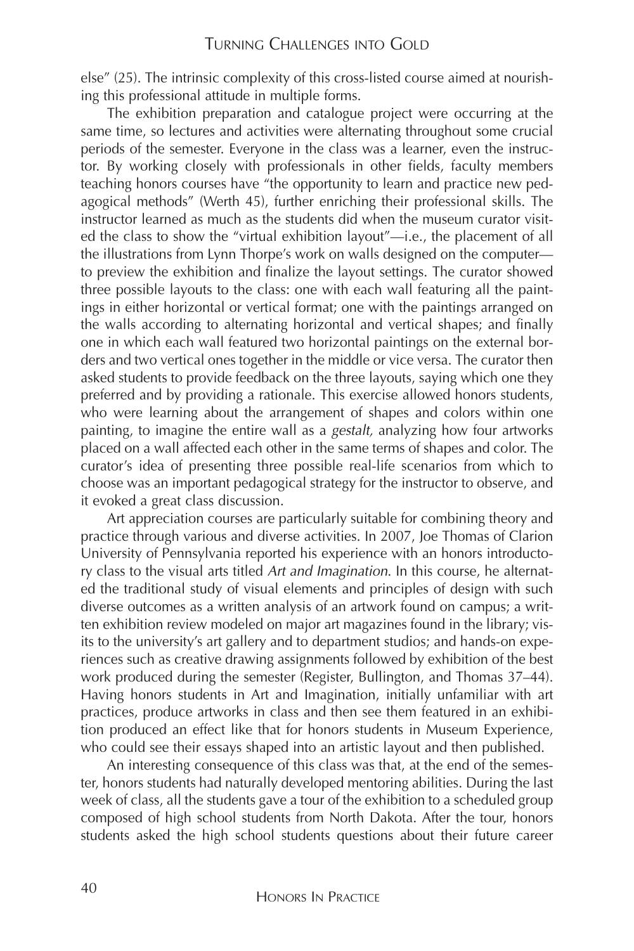else" (25). The intrinsic complexity of this cross-listed course aimed at nourishing this professional attitude in multiple forms.

The exhibition preparation and catalogue project were occurring at the same time, so lectures and activities were alternating throughout some crucial periods of the semester. Everyone in the class was a learner, even the instructor. By working closely with professionals in other fields, faculty members teaching honors courses have "the opportunity to learn and practice new pedagogical methods" (Werth 45), further enriching their professional skills. The instructor learned as much as the students did when the museum curator visited the class to show the "virtual exhibition layout"—i.e., the placement of all the illustrations from Lynn Thorpe's work on walls designed on the computer to preview the exhibition and finalize the layout settings. The curator showed three possible layouts to the class: one with each wall featuring all the paintings in either horizontal or vertical format; one with the paintings arranged on the walls according to alternating horizontal and vertical shapes; and finally one in which each wall featured two horizontal paintings on the external borders and two vertical ones together in the middle or vice versa. The curator then asked students to provide feedback on the three layouts, saying which one they preferred and by providing a rationale. This exercise allowed honors students, who were learning about the arrangement of shapes and colors within one painting, to imagine the entire wall as a *gestalt,* analyzing how four artworks placed on a wall affected each other in the same terms of shapes and color. The curator's idea of presenting three possible real-life scenarios from which to choose was an important pedagogical strategy for the instructor to observe, and it evoked a great class discussion.

Art appreciation courses are particularly suitable for combining theory and practice through various and diverse activities. In 2007, Joe Thomas of Clarion University of Pennsylvania reported his experience with an honors introductory class to the visual arts titled *Art and Imagination*. In this course, he alternated the traditional study of visual elements and principles of design with such diverse outcomes as a written analysis of an artwork found on campus; a written exhibition review modeled on major art magazines found in the library; visits to the university's art gallery and to department studios; and hands-on experiences such as creative drawing assignments followed by exhibition of the best work produced during the semester (Register, Bullington, and Thomas 37–44). Having honors students in Art and Imagination, initially unfamiliar with art practices, produce artworks in class and then see them featured in an exhibition produced an effect like that for honors students in Museum Experience, who could see their essays shaped into an artistic layout and then published.

An interesting consequence of this class was that, at the end of the semester, honors students had naturally developed mentoring abilities. During the last week of class, all the students gave a tour of the exhibition to a scheduled group composed of high school students from North Dakota. After the tour, honors students asked the high school students questions about their future career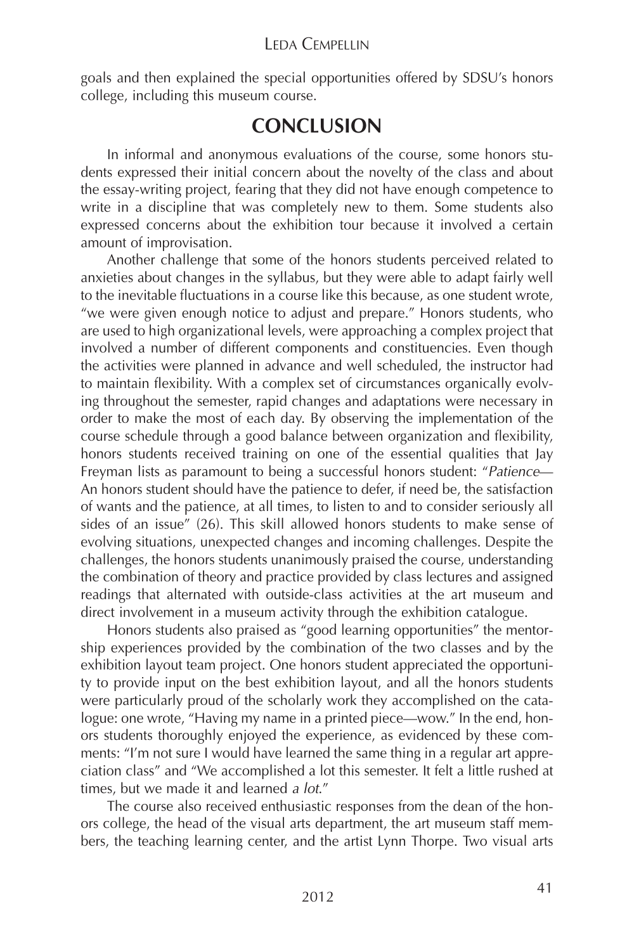#### LEDA CEMPELLIN

goals and then explained the special opportunities offered by SDSU's honors college, including this museum course.

## **CONCLUSION**

In informal and anonymous evaluations of the course, some honors students expressed their initial concern about the novelty of the class and about the essay-writing project, fearing that they did not have enough competence to write in a discipline that was completely new to them. Some students also expressed concerns about the exhibition tour because it involved a certain amount of improvisation.

Another challenge that some of the honors students perceived related to anxieties about changes in the syllabus, but they were able to adapt fairly well to the inevitable fluctuations in a course like this because, as one student wrote, "we were given enough notice to adjust and prepare." Honors students, who are used to high organizational levels, were approaching a complex project that involved a number of different components and constituencies. Even though the activities were planned in advance and well scheduled, the instructor had to maintain flexibility. With a complex set of circumstances organically evolving throughout the semester, rapid changes and adaptations were necessary in order to make the most of each day. By observing the implementation of the course schedule through a good balance between organization and flexibility, honors students received training on one of the essential qualities that Jay Freyman lists as paramount to being a successful honors student: "*Patience*— An honors student should have the patience to defer, if need be, the satisfaction of wants and the patience, at all times, to listen to and to consider seriously all sides of an issue" (26). This skill allowed honors students to make sense of evolving situations, unexpected changes and incoming challenges. Despite the challenges, the honors students unanimously praised the course, understanding the combination of theory and practice provided by class lectures and assigned readings that alternated with outside-class activities at the art museum and direct involvement in a museum activity through the exhibition catalogue.

Honors students also praised as "good learning opportunities" the mentorship experiences provided by the combination of the two classes and by the exhibition layout team project. One honors student appreciated the opportunity to provide input on the best exhibition layout, and all the honors students were particularly proud of the scholarly work they accomplished on the catalogue: one wrote, "Having my name in a printed piece—wow." In the end, honors students thoroughly enjoyed the experience, as evidenced by these comments: "I'm not sure I would have learned the same thing in a regular art appreciation class" and "We accomplished a lot this semester. It felt a little rushed at times, but we made it and learned *a lot*."

The course also received enthusiastic responses from the dean of the honors college, the head of the visual arts department, the art museum staff members, the teaching learning center, and the artist Lynn Thorpe. Two visual arts